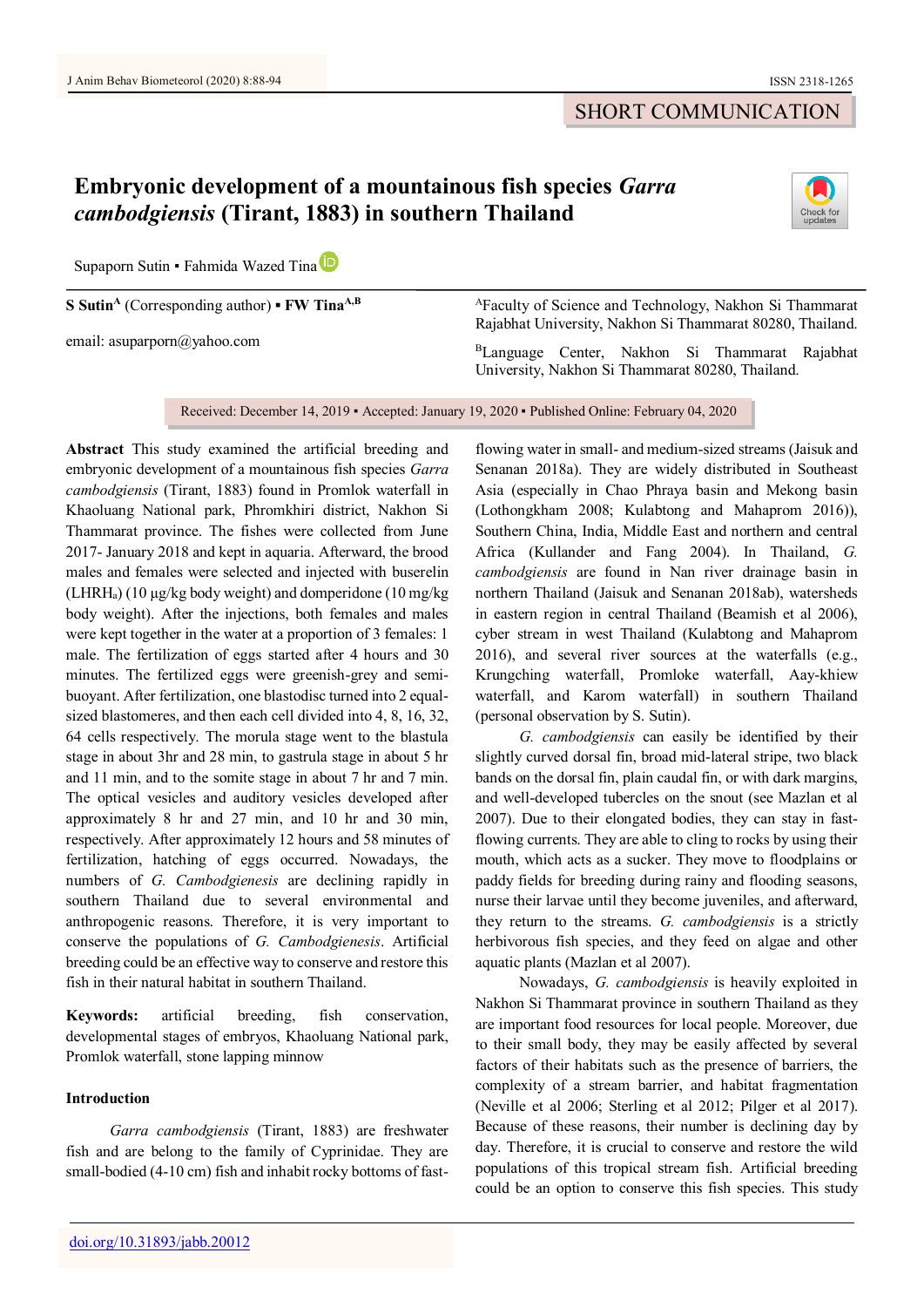## SHORT COMMUNICATION

# **Embryonic development of a mountainous fish species** *Garra cambodgiensis* **(Tirant, 1883) in southern Thailand**



Sup[a](https://orcid.org/0000-0001-9040-8947)porn Sutin • Fahmida Wazed Tina

**S Sutin<sup>A</sup>** (Corresponding author) **▪ FW TinaA,B**

email: asuparporn@yahoo.com

<sup>A</sup>Faculty of Science and Technology, Nakhon Si Thammarat Rajabhat University, Nakhon Si Thammarat 80280, Thailand.

<sup>B</sup>Language Center, Nakhon Si Thammarat Rajabhat University, Nakhon Si Thammarat 80280, Thailand.

Received: December 14, 2019 • Accepted: January 19, 2020 • Published Online: February 04, 2020

**Abstract** This study examined the artificial breeding and embryonic development of a mountainous fish species *Garra cambodgiensis* (Tirant, 1883) found in Promlok waterfall in Khaoluang National park, Phromkhiri district, Nakhon Si Thammarat province. The fishes were collected from June 2017- January 2018 and kept in aquaria. Afterward, the brood males and females were selected and injected with buserelin  $(LHRH<sub>a</sub>)$  (10 µg/kg body weight) and domperidone (10 mg/kg) body weight). After the injections, both females and males were kept together in the water at a proportion of 3 females: 1 male. The fertilization of eggs started after 4 hours and 30 minutes. The fertilized eggs were greenish-grey and semibuoyant. After fertilization, one blastodisc turned into 2 equalsized blastomeres, and then each cell divided into 4, 8, 16, 32, 64 cells respectively. The morula stage went to the blastula stage in about 3hr and 28 min, to gastrula stage in about 5 hr and 11 min, and to the somite stage in about 7 hr and 7 min. The optical vesicles and auditory vesicles developed after approximately 8 hr and 27 min, and 10 hr and 30 min, respectively. After approximately 12 hours and 58 minutes of fertilization, hatching of eggs occurred. Nowadays, the numbers of *G. Cambodgienesis* are declining rapidly in southern Thailand due to several environmental and anthropogenic reasons. Therefore, it is very important to conserve the populations of *G. Cambodgienesis*. Artificial breeding could be an effective way to conserve and restore this fish in their natural habitat in southern Thailand.

**Keywords:** artificial breeding, fish conservation, developmental stages of embryos, Khaoluang National park, Promlok waterfall, stone lapping minnow

## **Introduction**

*Garra cambodgiensis* (Tirant, 1883) are freshwater fish and are belong to the family of Cyprinidae. They are small-bodied (4-10 cm) fish and inhabit rocky bottoms of fast-

flowing water in small- and medium-sized streams (Jaisuk and Senanan 2018a). They are widely distributed in Southeast Asia (especially in Chao Phraya basin and Mekong basin (Lothongkham 2008; Kulabtong and Mahaprom 2016)), Southern China, India, Middle East and northern and central Africa (Kullander and Fang 2004). In Thailand, *G. cambodgiensis* are found in Nan river drainage basin in northern Thailand (Jaisuk and Senanan 2018ab), watersheds in eastern region in central Thailand (Beamish et al 2006), cyber stream in west Thailand (Kulabtong and Mahaprom 2016), and several river sources at the waterfalls (e.g., Krungching waterfall, Promloke waterfall, Aay-khiew waterfall, and Karom waterfall) in southern Thailand (personal observation by S. Sutin).

*G. cambodgiensis* can easily be identified by their slightly curved dorsal fin, broad mid-lateral stripe, two black bands on the dorsal fin, plain caudal fin, or with dark margins, and well-developed tubercles on the snout (see Mazlan et al 2007). Due to their elongated bodies, they can stay in fastflowing currents. They are able to cling to rocks by using their mouth, which acts as a sucker. They move to floodplains or paddy fields for breeding during rainy and flooding seasons, nurse their larvae until they become juveniles, and afterward, they return to the streams. *G. cambodgiensis* is a strictly herbivorous fish species, and they feed on algae and other aquatic plants (Mazlan et al 2007).

Nowadays, *G. cambodgiensis* is heavily exploited in Nakhon Si Thammarat province in southern Thailand as they are important food resources for local people. Moreover, due to their small body, they may be easily affected by several factors of their habitats such as the presence of barriers, the complexity of a stream barrier, and habitat fragmentation (Neville et al 2006; Sterling et al 2012; Pilger et al 2017). Because of these reasons, their number is declining day by day. Therefore, it is crucial to conserve and restore the wild populations of this tropical stream fish. Artificial breeding could be an option to conserve this fish species. This study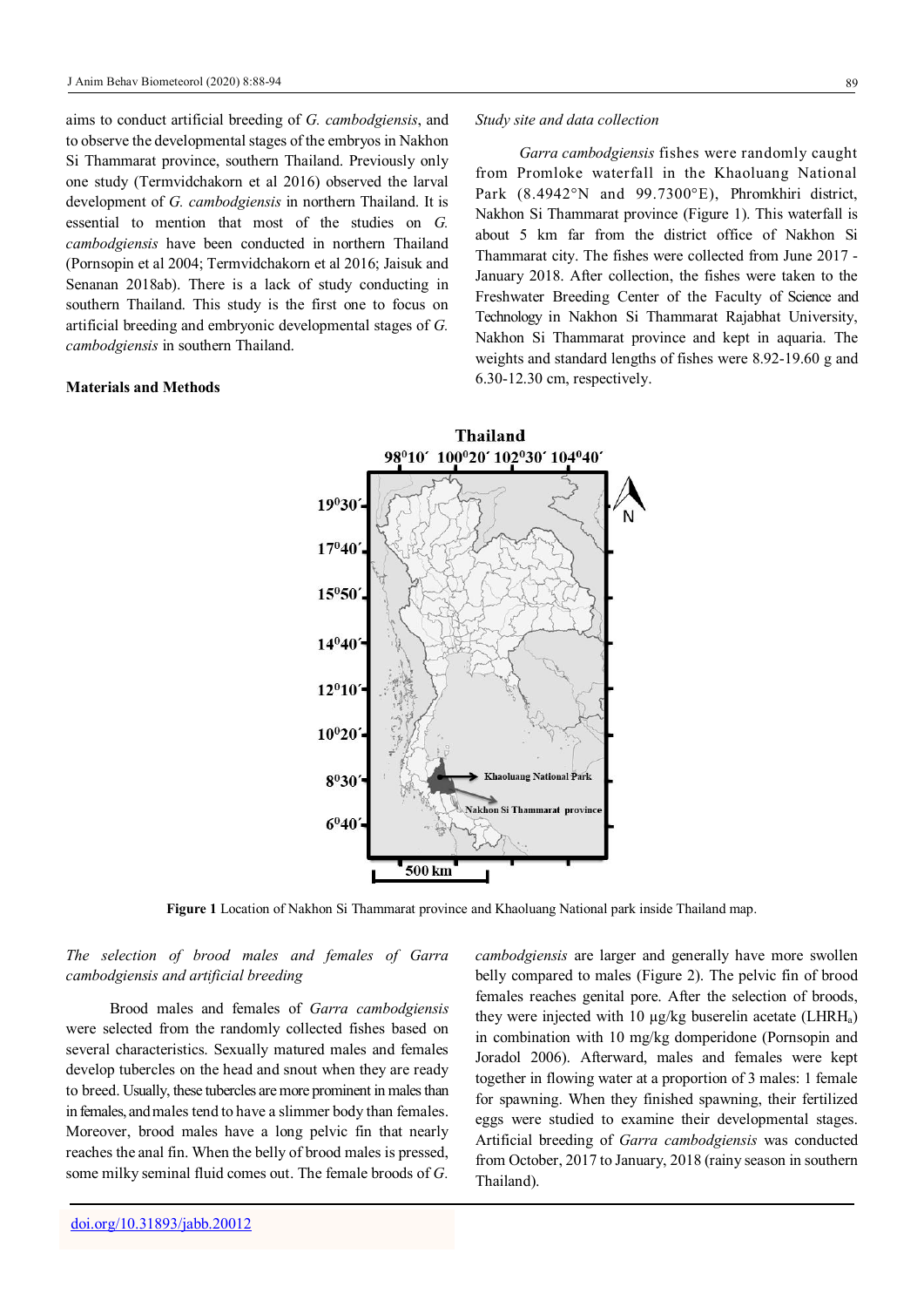aims to conduct artificial breeding of *G. cambodgiensis*, and to observe the developmental stages of the embryos in Nakhon Si Thammarat province, southern Thailand. Previously only one study (Termvidchakorn et al 2016) observed the larval development of *G. cambodgiensis* in northern Thailand. It is essential to mention that most of the studies on *G. cambodgiensis* have been conducted in northern Thailand (Pornsopin et al 2004; Termvidchakorn et al 2016; Jaisuk and Senanan 2018ab). There is a lack of study conducting in southern Thailand. This study is the first one to focus on artificial breeding and embryonic developmental stages of *G. cambodgiensis* in southern Thailand.

#### **Materials and Methods**

#### *Study site and data collection*

*Garra cambodgiensis* fishes were randomly caught from Promloke waterfall in the Khaoluang National Park (8.4942°N and 99.7300°E), Phromkhiri district, Nakhon Si Thammarat province (Figure 1). This waterfall is about 5 km far from the district office of Nakhon Si Thammarat city. The fishes were collected from June 2017 - January 2018. After collection, the fishes were taken to the Freshwater Breeding Center of the Faculty of Science and Technology in Nakhon Si Thammarat Rajabhat University, Nakhon Si Thammarat province and kept in aquaria. The weights and standard lengths of fishes were 8.92-19.60 g and 6.30-12.30 cm, respectively.



**Figure 1** Location of Nakhon Si Thammarat province and Khaoluang National park inside Thailand map.

## *The selection of brood males and females of Garra cambodgiensis and artificial breeding*

Brood males and females of *Garra cambodgiensis* were selected from the randomly collected fishes based on several characteristics. Sexually matured males and females develop tubercles on the head and snout when they are ready to breed. Usually, these tubercles are more prominent in males than in females, and males tend to have a slimmer body than females. Moreover, brood males have a long pelvic fin that nearly reaches the anal fin. When the belly of brood males is pressed, some milky seminal fluid comes out. The female broods of *G.* 

*cambodgiensis* are larger and generally have more swollen belly compared to males (Figure 2). The pelvic fin of brood females reaches genital pore. After the selection of broods, they were injected with 10 µg/kg buserelin acetate (LHRHa) in combination with 10 mg/kg domperidone (Pornsopin and Joradol 2006). Afterward, males and females were kept together in flowing water at a proportion of 3 males: 1 female for spawning. When they finished spawning, their fertilized eggs were studied to examine their developmental stages. Artificial breeding of *Garra cambodgiensis* was conducted from October, 2017 to January, 2018 (rainy season in southern Thailand).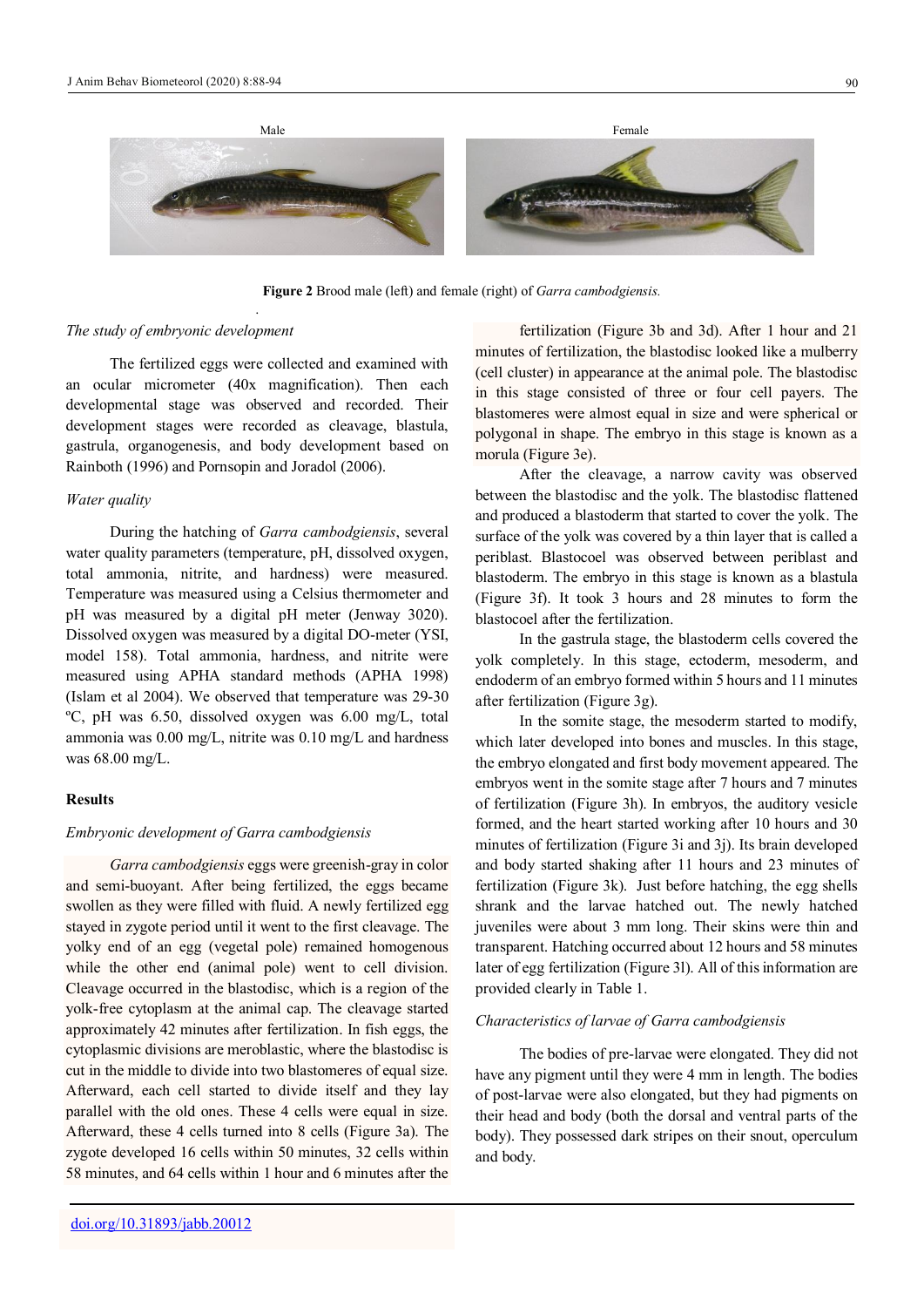

**Figure 2** Brood male (left) and female (right) of *Garra cambodgiensis.*

#### *The study of embryonic development*

The fertilized eggs were collected and examined with an ocular micrometer (40x magnification). Then each developmental stage was observed and recorded. Their development stages were recorded as cleavage, blastula, gastrula, organogenesis, and body development based on Rainboth (1996) and Pornsopin and Joradol (2006).

.

## *Water quality*

During the hatching of *Garra cambodgiensis*, several water quality parameters (temperature, pH, dissolved oxygen, total ammonia, nitrite, and hardness) were measured. Temperature was measured using a Celsius thermometer and pH was measured by a digital pH meter (Jenway 3020). Dissolved oxygen was measured by a digital DO-meter (YSI, model 158). Total ammonia, hardness, and nitrite were measured using APHA standard methods (APHA 1998) (Islam et al 2004). We observed that temperature was 29-30 ºC, pH was 6.50, dissolved oxygen was 6.00 mg/L, total ammonia was 0.00 mg/L, nitrite was 0.10 mg/L and hardness was 68.00 mg/L.

## **Results**

## *Embryonic development of Garra cambodgiensis*

*Garra cambodgiensis* eggs were greenish-gray in color and semi-buoyant. After being fertilized, the eggs became swollen as they were filled with fluid. A newly fertilized egg stayed in zygote period until it went to the first cleavage. The yolky end of an egg (vegetal pole) remained homogenous while the other end (animal pole) went to cell division. Cleavage occurred in the blastodisc, which is a region of the yolk-free cytoplasm at the animal cap. The cleavage started approximately 42 minutes after fertilization. In fish eggs, the cytoplasmic divisions are meroblastic, where the blastodisc is cut in the middle to divide into two blastomeres of equal size. Afterward, each cell started to divide itself and they lay parallel with the old ones. These 4 cells were equal in size. Afterward, these 4 cells turned into 8 cells (Figure 3a). The zygote developed 16 cells within 50 minutes, 32 cells within 58 minutes, and 64 cells within 1 hour and 6 minutes after the

minutes of fertilization, the blastodisc looked like a mulberry (cell cluster) in appearance at the animal pole. The blastodisc in this stage consisted of three or four cell payers. The blastomeres were almost equal in size and were spherical or polygonal in shape. The embryo in this stage is known as a morula (Figure 3e). After the cleavage, a narrow cavity was observed

fertilization (Figure 3b and 3d). After 1 hour and 21

between the blastodisc and the yolk. The blastodisc flattened and produced a blastoderm that started to cover the yolk. The surface of the yolk was covered by a thin layer that is called a periblast. Blastocoel was observed between periblast and blastoderm. The embryo in this stage is known as a blastula (Figure 3f). It took 3 hours and 28 minutes to form the blastocoel after the fertilization.

In the gastrula stage, the blastoderm cells covered the yolk completely. In this stage, ectoderm, mesoderm, and endoderm of an embryo formed within 5 hours and 11 minutes after fertilization (Figure 3g).

In the somite stage, the mesoderm started to modify, which later developed into bones and muscles. In this stage, the embryo elongated and first body movement appeared. The embryos went in the somite stage after 7 hours and 7 minutes of fertilization (Figure 3h). In embryos, the auditory vesicle formed, and the heart started working after 10 hours and 30 minutes of fertilization (Figure 3i and 3j). Its brain developed and body started shaking after 11 hours and 23 minutes of fertilization (Figure 3k). Just before hatching, the egg shells shrank and the larvae hatched out. The newly hatched juveniles were about 3 mm long. Their skins were thin and transparent. Hatching occurred about 12 hours and 58 minutes later of egg fertilization (Figure 3l). All of this information are provided clearly in Table 1.

## *Characteristics of larvae of Garra cambodgiensis*

The bodies of pre-larvae were elongated. They did not have any pigment until they were 4 mm in length. The bodies of post-larvae were also elongated, but they had pigments on their head and body (both the dorsal and ventral parts of the body). They possessed dark stripes on their snout, operculum and body.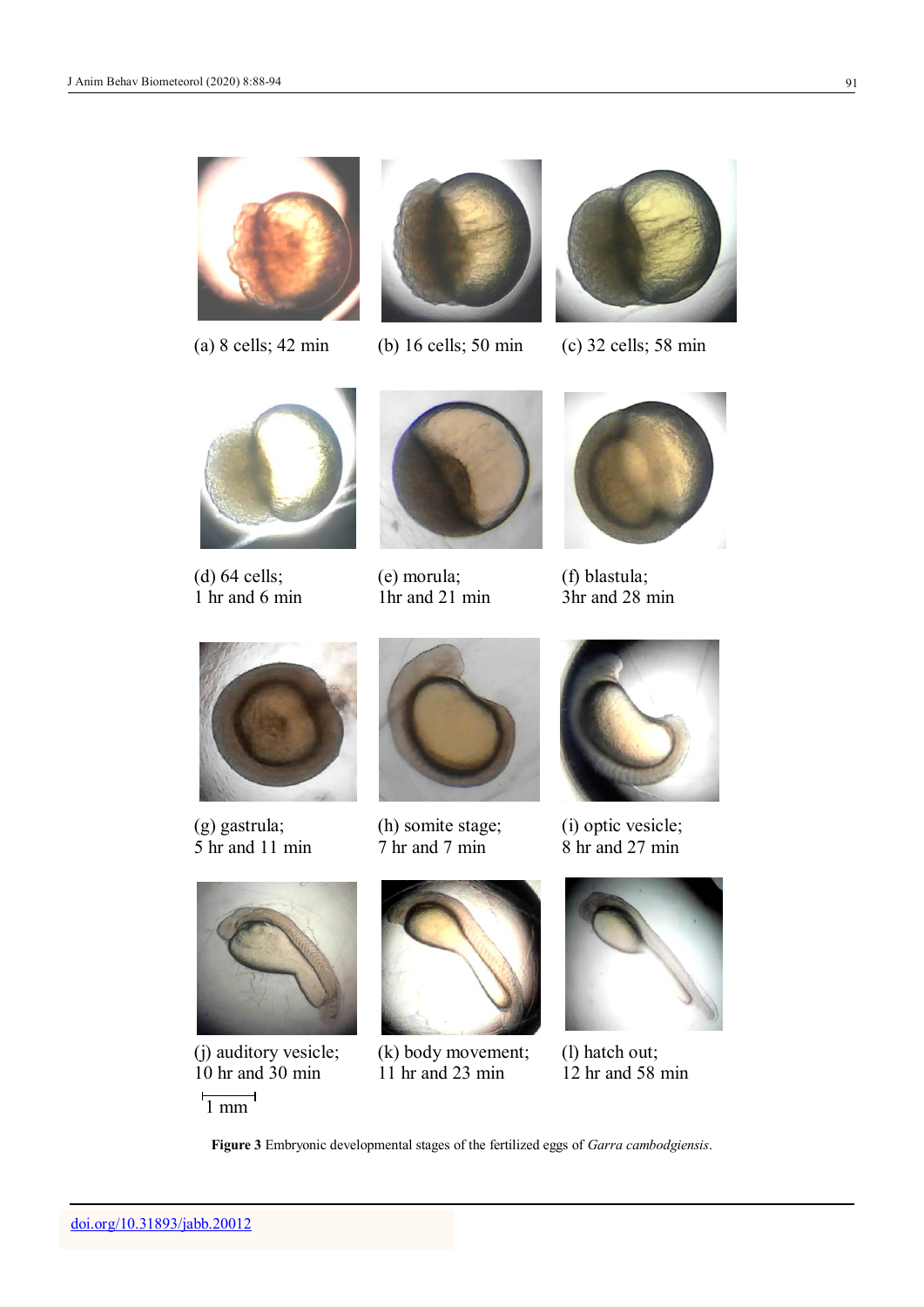





(a) 8 cells; 42 min (b) 16 cells; 50 min (c) 32 cells; 58 min





(d) 64 cells; 1 hr and 6 min



(e) morula; 1hr and 21 min



(f) blastula; 3hr and 28 min



(g) gastrula; 5 hr and 11 min



(h) somite stage; 7 hr and 7 min



(i) optic vesicle; 8 hr and 27 min



(j) auditory vesicle; 10 hr and 30 min

 $\frac{1}{1}$  mm L,



(k) body movement; 11 hr and 23 min



(l) hatch out; 12 hr and 58 min

**Figure 3** Embryonic developmental stages of the fertilized eggs of *Garra cambodgiensis*.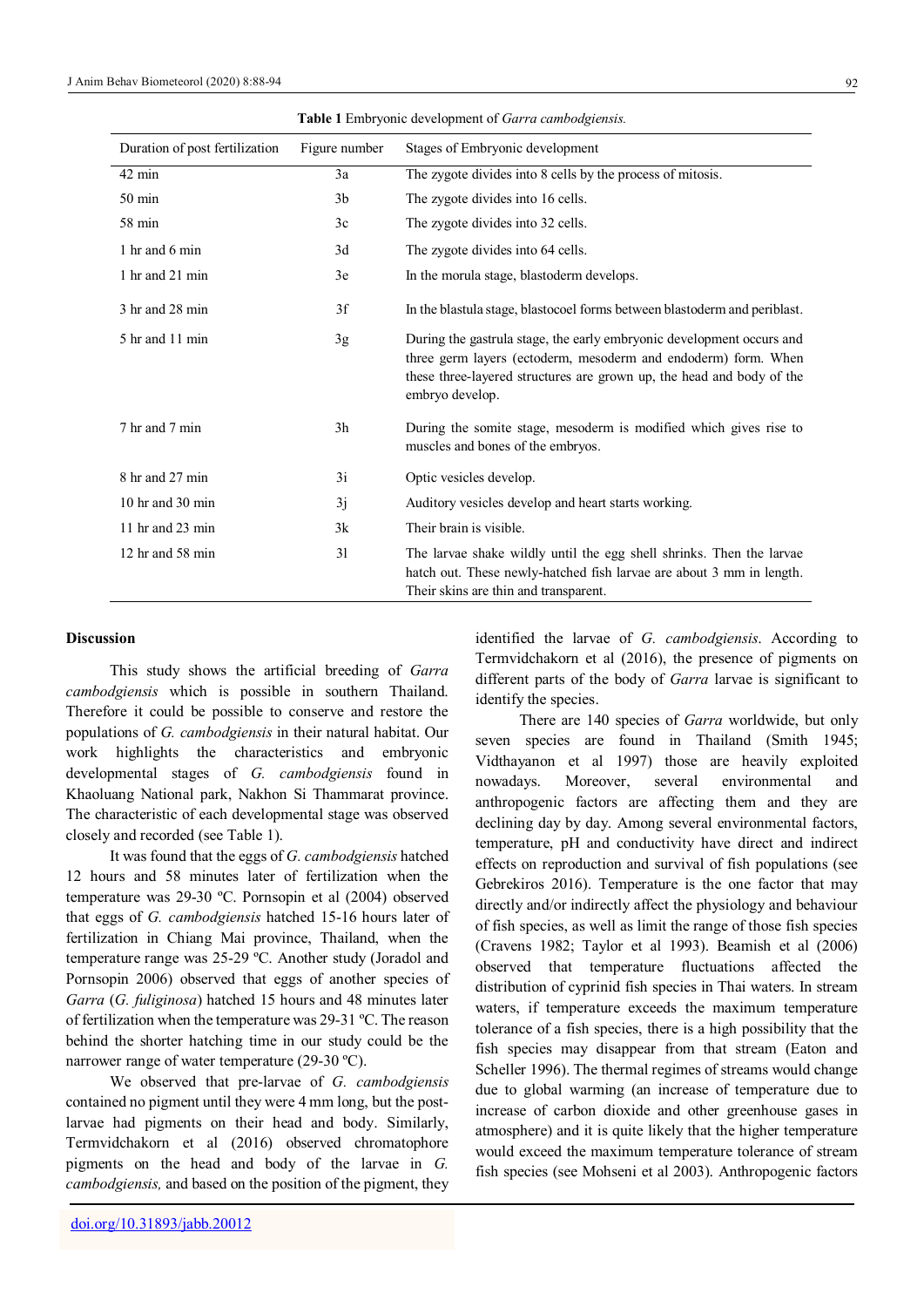| <b>Table 1</b> Embryonic development of Garra cambodgiensis. |                |                                                                                                                                                                                                                                     |
|--------------------------------------------------------------|----------------|-------------------------------------------------------------------------------------------------------------------------------------------------------------------------------------------------------------------------------------|
| Duration of post fertilization                               | Figure number  | Stages of Embryonic development                                                                                                                                                                                                     |
| $42 \text{ min}$                                             | 3a             | The zygote divides into 8 cells by the process of mitosis.                                                                                                                                                                          |
| $50 \text{ min}$                                             | 3 <sub>b</sub> | The zygote divides into 16 cells.                                                                                                                                                                                                   |
| 58 min                                                       | 3c             | The zygote divides into 32 cells.                                                                                                                                                                                                   |
| 1 hr and 6 min                                               | 3d             | The zygote divides into 64 cells.                                                                                                                                                                                                   |
| 1 hr and 21 min                                              | 3e             | In the morula stage, blastoderm develops.                                                                                                                                                                                           |
| 3 hr and 28 min                                              | 3f             | In the blastula stage, blastocoel forms between blastoderm and periblast.                                                                                                                                                           |
| 5 hr and 11 min                                              | 3g             | During the gastrula stage, the early embryonic development occurs and<br>three germ layers (ectoderm, mesoderm and endoderm) form. When<br>these three-layered structures are grown up, the head and body of the<br>embryo develop. |
| 7 hr and 7 min                                               | 3h             | During the somite stage, mesoderm is modified which gives rise to<br>muscles and bones of the embryos.                                                                                                                              |
| 8 hr and 27 min                                              | 3i             | Optic vesicles develop.                                                                                                                                                                                                             |
| 10 hr and 30 min                                             | 3j             | Auditory vesicles develop and heart starts working.                                                                                                                                                                                 |
| 11 hr and 23 min                                             | 3k             | Their brain is visible.                                                                                                                                                                                                             |
| 12 hr and 58 min                                             | 31             | The larvae shake wildly until the egg shell shrinks. Then the larvae<br>hatch out. These newly-hatched fish larvae are about 3 mm in length.<br>Their skins are thin and transparent.                                               |

**Table 1** Embryonic development of *Garra cambodgiensis.*

#### **Discussion**

This study shows the artificial breeding of *Garra cambodgiensis* which is possible in southern Thailand. Therefore it could be possible to conserve and restore the populations of *G. cambodgiensis* in their natural habitat. Our work highlights the characteristics and embryonic developmental stages of *G. cambodgiensis* found in Khaoluang National park, Nakhon Si Thammarat province. The characteristic of each developmental stage was observed closely and recorded (see Table 1).

It was found that the eggs of *G. cambodgiensis* hatched 12 hours and 58 minutes later of fertilization when the temperature was 29-30 ºC. Pornsopin et al (2004) observed that eggs of *G. cambodgiensis* hatched 15-16 hours later of fertilization in Chiang Mai province, Thailand, when the temperature range was 25-29 ºC. Another study (Joradol and Pornsopin 2006) observed that eggs of another species of *Garra* (*G. fuliginosa*) hatched 15 hours and 48 minutes later of fertilization when the temperature was 29-31 ºC. The reason behind the shorter hatching time in our study could be the narrower range of water temperature (29-30 ºC).

We observed that pre-larvae of *G. cambodgiensis* contained no pigment until they were 4 mm long, but the postlarvae had pigments on their head and body. Similarly, Termvidchakorn et al (2016) observed chromatophore pigments on the head and body of the larvae in *G. cambodgiensis,* and based on the position of the pigment, they

identified the larvae of *G. cambodgiensis*. According to Termvidchakorn et al (2016), the presence of pigments on different parts of the body of *Garra* larvae is significant to identify the species.

There are 140 species of *Garra* worldwide, but only seven species are found in Thailand (Smith 1945; Vidthayanon et al 1997) those are heavily exploited nowadays. Moreover, several environmental and anthropogenic factors are affecting them and they are declining day by day. Among several environmental factors, temperature, pH and conductivity have direct and indirect effects on reproduction and survival of fish populations (see Gebrekiros 2016). Temperature is the one factor that may directly and/or indirectly affect the physiology and behaviour of fish species, as well as limit the range of those fish species (Cravens 1982; Taylor et al 1993). Beamish et al (2006) observed that temperature fluctuations affected the distribution of cyprinid fish species in Thai waters. In stream waters, if temperature exceeds the maximum temperature tolerance of a fish species, there is a high possibility that the fish species may disappear from that stream (Eaton and Scheller 1996). The thermal regimes of streams would change due to global warming (an increase of temperature due to increase of carbon dioxide and other greenhouse gases in atmosphere) and it is quite likely that the higher temperature would exceed the maximum temperature tolerance of stream fish species (see Mohseni et al 2003). Anthropogenic factors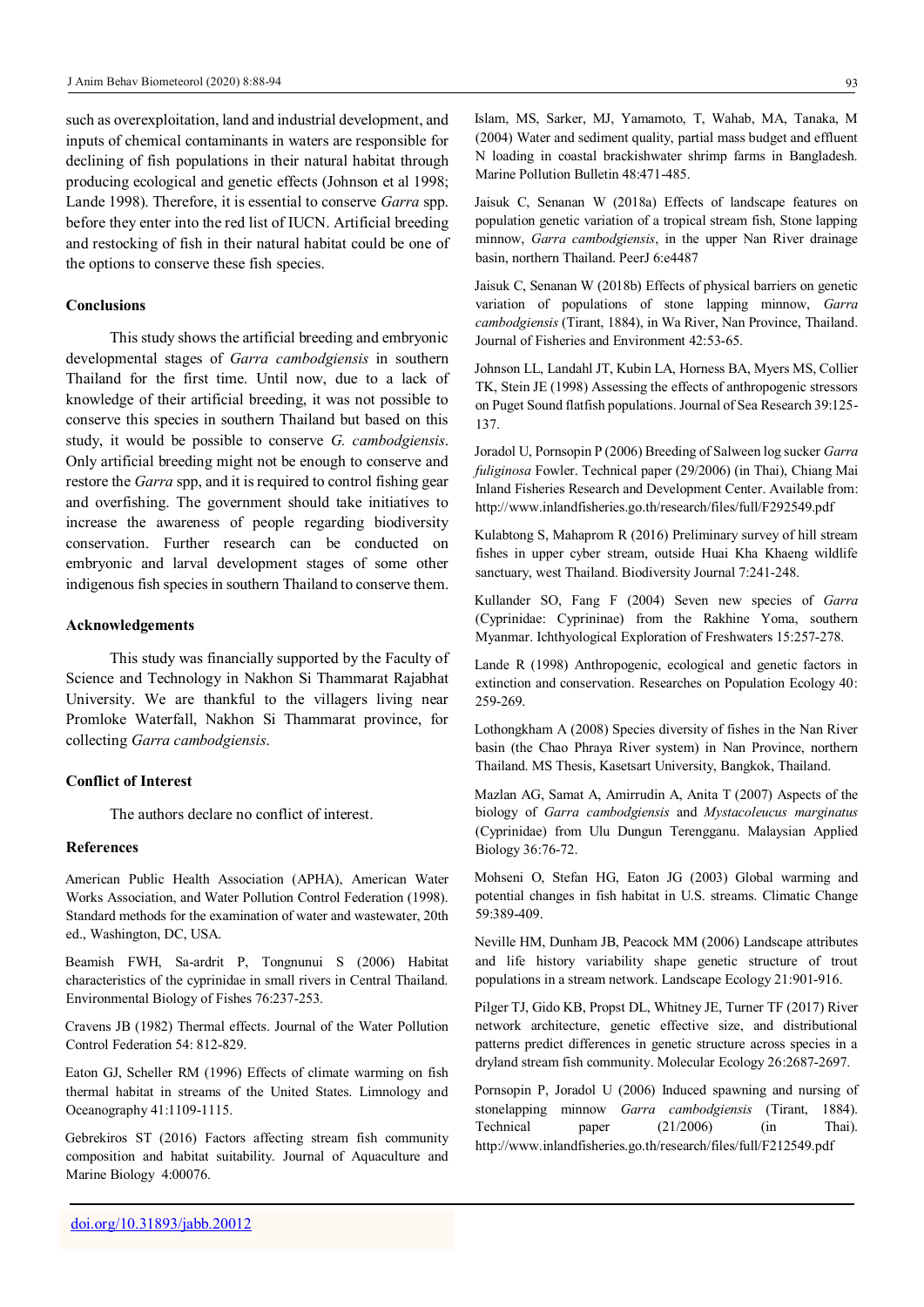such as overexploitation, land and industrial development, and inputs of chemical contaminants in waters are responsible for declining of fish populations in their natural habitat through producing ecological and genetic effects (Johnson et al 1998; Lande 1998). Therefore, it is essential to conserve *Garra* spp. before they enter into the red list of IUCN. Artificial breeding and restocking of fish in their natural habitat could be one of the options to conserve these fish species.

#### **Conclusions**

This study shows the artificial breeding and embryonic developmental stages of *Garra cambodgiensis* in southern Thailand for the first time. Until now, due to a lack of knowledge of their artificial breeding, it was not possible to conserve this species in southern Thailand but based on this study, it would be possible to conserve *G. cambodgiensis*. Only artificial breeding might not be enough to conserve and restore the *Garra* spp, and it is required to control fishing gear and overfishing. The government should take initiatives to increase the awareness of people regarding biodiversity conservation. Further research can be conducted on embryonic and larval development stages of some other indigenous fish species in southern Thailand to conserve them.

#### **Acknowledgements**

This study was financially supported by the Faculty of Science and Technology in Nakhon Si Thammarat Rajabhat University. We are thankful to the villagers living near Promloke Waterfall, Nakhon Si Thammarat province, for collecting *Garra cambodgiensis*.

#### **Conflict of Interest**

The authors declare no conflict of interest.

## **References**

American Public Health Association (APHA), American Water Works Association, and Water Pollution Control Federation (1998). Standard methods for the examination of water and wastewater, 20th ed., Washington, DC, USA.

Beamish FWH, Sa-ardrit P, Tongnunui S (2006) Habitat characteristics of the cyprinidae in small rivers in Central Thailand. Environmental Biology of Fishes 76:237-253.

Cravens JB (1982) Thermal effects. Journal of the Water Pollution Control Federation 54: 812-829.

Eaton GJ, Scheller RM (1996) Effects of climate warming on fish thermal habitat in streams of the United States. Limnology and Oceanography 41:1109-1115.

Gebrekiros ST (2016) Factors affecting stream fish community composition and habitat suitability. Journal of Aquaculture and Marine Biology 4:00076.

Jaisuk C, Senanan W (2018a) Effects of landscape features on population genetic variation of a tropical stream fish, Stone lapping minnow, *Garra cambodgiensis*, in the upper Nan River drainage basin, northern Thailand. PeerJ 6:e4487

Jaisuk C, Senanan W (2018b) Effects of physical barriers on genetic variation of populations of stone lapping minnow, *Garra cambodgiensis* (Tirant, 1884), in Wa River, Nan Province, Thailand. Journal of Fisheries and Environment 42:53-65.

Johnson LL, Landahl JT, Kubin LA, Horness BA, Myers MS, Collier TK, Stein JE (1998) Assessing the effects of anthropogenic stressors on Puget Sound flatfish populations. Journal of Sea Research 39:125- 137.

Joradol U, Pornsopin P (2006) Breeding of Salween log sucker *Garra fuliginosa* Fowler. Technical paper (29/2006) (in Thai), Chiang Mai Inland Fisheries Research and Development Center. Available from: http://www.[inlandfisheries](http://www.inlandfisheries.go.th/research/files/full/F292549.pdf).go.th/research/files/full/F292549.pdf

Kulabtong S, Mahaprom R (2016) Preliminary survey of hill stream fishes in upper cyber stream, outside Huai Kha Khaeng wildlife sanctuary, west Thailand. Biodiversity Journal 7:241-248.

Kullander SO, Fang F (2004) Seven new species of *Garra* (Cyprinidae: Cyprininae) from the Rakhine Yoma, southern Myanmar. Ichthyological Exploration of Freshwaters 15:257-278.

Lande R (1998) Anthropogenic, ecological and genetic factors in extinction and conservation. Researches on Population Ecology 40: 259-269.

Lothongkham A (2008) Species diversity of fishes in the Nan River basin (the Chao Phraya River system) in Nan Province, northern Thailand. MS Thesis, Kasetsart University, Bangkok, Thailand.

Mazlan AG, Samat A, Amirrudin A, Anita T (2007) Aspects of the biology of *Garra cambodgiensis* and *Mystacoleucus marginatus* (Cyprinidae) from Ulu Dungun Terengganu. Malaysian Applied Biology 36:76-72.

Mohseni O, Stefan HG, Eaton JG (2003) Global warming and potential changes in fish habitat in U.S. streams. Climatic Change 59:389-409.

Neville HM, Dunham JB, Peacock MM (2006) Landscape attributes and life history variability shape genetic structure of trout populations in a stream network. Landscape Ecology 21:901-916.

Pilger TJ, Gido KB, Propst DL, Whitney JE, Turner TF (2017) River network architecture, genetic effective size, and distributional patterns predict differences in genetic structure across species in a dryland stream fish community. Molecular Ecology 26:2687-2697.

Pornsopin P, Joradol U (2006) Induced spawning and nursing of stonelapping minnow *Garra cambodgiensis* (Tirant, 1884). Technical paper (21/2006) (in Thai). <http://www.inlandfisheries.go.th/research/files/full/F212549.pdf>